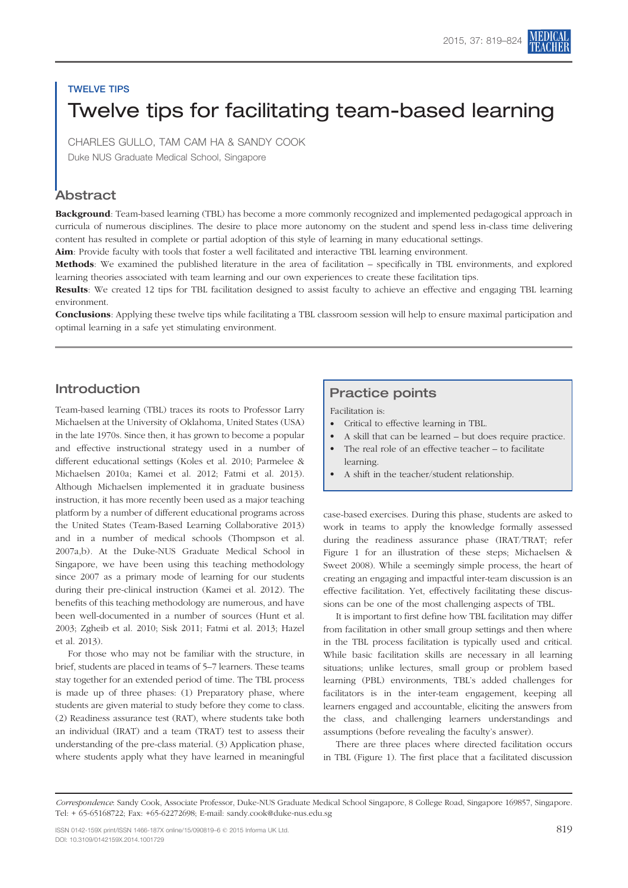# TWELVE TIPS Twelve tips for facilitating team-based learning

CHARLES GULLO, TAM CAM HA & SANDY COOK Duke NUS Graduate Medical School, Singapore

# **Abstract**

Background: Team-based learning (TBL) has become a more commonly recognized and implemented pedagogical approach in curricula of numerous disciplines. The desire to place more autonomy on the student and spend less in-class time delivering content has resulted in complete or partial adoption of this style of learning in many educational settings.

Aim: Provide faculty with tools that foster a well facilitated and interactive TBL learning environment.

Methods: We examined the published literature in the area of facilitation – specifically in TBL environments, and explored learning theories associated with team learning and our own experiences to create these facilitation tips.

Results: We created 12 tips for TBL facilitation designed to assist faculty to achieve an effective and engaging TBL learning environment.

Conclusions: Applying these twelve tips while facilitating a TBL classroom session will help to ensure maximal participation and optimal learning in a safe yet stimulating environment.

# Introduction

Team-based learning (TBL) traces its roots to Professor Larry Michaelsen at the University of Oklahoma, United States (USA) in the late 1970s. Since then, it has grown to become a popular and effective instructional strategy used in a number of different educational settings (Koles et al. [2010](#page-5-0); Parmelee & Michaelsen [2010a;](#page-5-0) Kamei et al. [2012;](#page-5-0) Fatmi et al. [2013](#page-5-0)). Although Michaelsen implemented it in graduate business instruction, it has more recently been used as a major teaching platform by a number of different educational programs across the United States (Team-Based Learning Collaborative [2013\)](#page-5-0) and in a number of medical schools (Thompson et al. [2007a,b\)](#page-5-0). At the Duke-NUS Graduate Medical School in Singapore, we have been using this teaching methodology since 2007 as a primary mode of learning for our students during their pre-clinical instruction (Kamei et al. [2012\)](#page-5-0). The benefits of this teaching methodology are numerous, and have been well-documented in a number of sources (Hunt et al. [2003](#page-5-0); Zgheib et al. [2010](#page-5-0); Sisk [2011;](#page-5-0) Fatmi et al. [2013](#page-5-0); Hazel et al. [2013](#page-5-0)).

For those who may not be familiar with the structure, in brief, students are placed in teams of 5–7 learners. These teams stay together for an extended period of time. The TBL process is made up of three phases: (1) Preparatory phase, where students are given material to study before they come to class. (2) Readiness assurance test (RAT), where students take both an individual (IRAT) and a team (TRAT) test to assess their understanding of the pre-class material. (3) Application phase, where students apply what they have learned in meaningful

# Practice points

Facilitation is:

- -Critical to effective learning in TBL.
- -A skill that can be learned – but does require practice.
- - The real role of an effective teacher – to facilitate learning.
- -A shift in the teacher/student relationship.

case-based exercises. During this phase, students are asked to work in teams to apply the knowledge formally assessed during the readiness assurance phase (IRAT/TRAT; refer [Figure 1](#page-1-0) for an illustration of these steps; Michaelsen & Sweet [2008\)](#page-5-0). While a seemingly simple process, the heart of creating an engaging and impactful inter-team discussion is an effective facilitation. Yet, effectively facilitating these discussions can be one of the most challenging aspects of TBL.

It is important to first define how TBL facilitation may differ from facilitation in other small group settings and then where in the TBL process facilitation is typically used and critical. While basic facilitation skills are necessary in all learning situations; unlike lectures, small group or problem based learning (PBL) environments, TBL's added challenges for facilitators is in the inter-team engagement, keeping all learners engaged and accountable, eliciting the answers from the class, and challenging learners understandings and assumptions (before revealing the faculty's answer).

There are three places where directed facilitation occurs in TBL ([Figure 1\)](#page-1-0). The first place that a facilitated discussion

Correspondence: Sandy Cook, Associate Professor, Duke-NUS Graduate Medical School Singapore, 8 College Road, Singapore 169857, Singapore. Tel: + 65-65168722; Fax: +65-62272698; E-mail: sandy.cook@duke-nus.edu.sg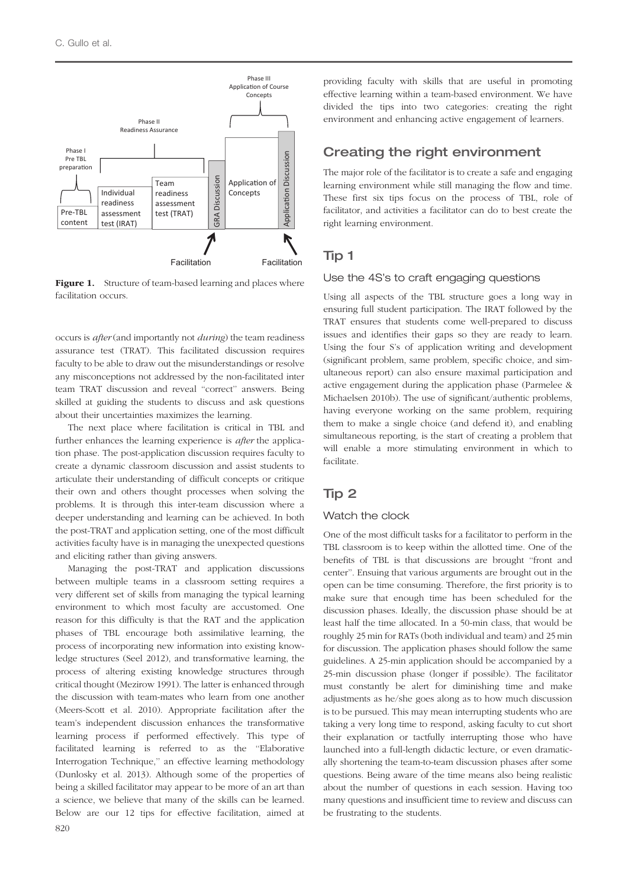<span id="page-1-0"></span>

Figure 1. Structure of team-based learning and places where facilitation occurs.

occurs is after (and importantly not during) the team readiness assurance test (TRAT). This facilitated discussion requires faculty to be able to draw out the misunderstandings or resolve any misconceptions not addressed by the non-facilitated inter team TRAT discussion and reveal ''correct'' answers. Being skilled at guiding the students to discuss and ask questions about their uncertainties maximizes the learning.

The next place where facilitation is critical in TBL and further enhances the learning experience is *after* the application phase. The post-application discussion requires faculty to create a dynamic classroom discussion and assist students to articulate their understanding of difficult concepts or critique their own and others thought processes when solving the problems. It is through this inter-team discussion where a deeper understanding and learning can be achieved. In both the post-TRAT and application setting, one of the most difficult activities faculty have is in managing the unexpected questions and eliciting rather than giving answers.

Managing the post-TRAT and application discussions between multiple teams in a classroom setting requires a very different set of skills from managing the typical learning environment to which most faculty are accustomed. One reason for this difficulty is that the RAT and the application phases of TBL encourage both assimilative learning, the process of incorporating new information into existing knowledge structures (Seel [2012\)](#page-5-0), and transformative learning, the process of altering existing knowledge structures through critical thought (Mezirow [1991\)](#page-5-0). The latter is enhanced through the discussion with team-mates who learn from one another (Meers-Scott et al. [2010\)](#page-5-0). Appropriate facilitation after the team's independent discussion enhances the transformative learning process if performed effectively. This type of facilitated learning is referred to as the ''Elaborative Interrogation Technique,'' an effective learning methodology (Dunlosky et al. [2013](#page-5-0)). Although some of the properties of being a skilled facilitator may appear to be more of an art than a science, we believe that many of the skills can be learned. Below are our 12 tips for effective facilitation, aimed at

providing faculty with skills that are useful in promoting effective learning within a team-based environment. We have divided the tips into two categories: creating the right environment and enhancing active engagement of learners.

# Creating the right environment

The major role of the facilitator is to create a safe and engaging learning environment while still managing the flow and time. These first six tips focus on the process of TBL, role of facilitator, and activities a facilitator can do to best create the right learning environment.

#### Tip 1

#### Use the 4S's to craft engaging questions

Using all aspects of the TBL structure goes a long way in ensuring full student participation. The IRAT followed by the TRAT ensures that students come well-prepared to discuss issues and identifies their gaps so they are ready to learn. Using the four S's of application writing and development (significant problem, same problem, specific choice, and simultaneous report) can also ensure maximal participation and active engagement during the application phase (Parmelee & Michaelsen [2010b\)](#page-5-0). The use of significant/authentic problems, having everyone working on the same problem, requiring them to make a single choice (and defend it), and enabling simultaneous reporting, is the start of creating a problem that will enable a more stimulating environment in which to facilitate.

# Tip 2

#### Watch the clock

One of the most difficult tasks for a facilitator to perform in the TBL classroom is to keep within the allotted time. One of the benefits of TBL is that discussions are brought ''front and center''. Ensuing that various arguments are brought out in the open can be time consuming. Therefore, the first priority is to make sure that enough time has been scheduled for the discussion phases. Ideally, the discussion phase should be at least half the time allocated. In a 50-min class, that would be roughly 25 min for RATs (both individual and team) and 25 min for discussion. The application phases should follow the same guidelines. A 25-min application should be accompanied by a 25-min discussion phase (longer if possible). The facilitator must constantly be alert for diminishing time and make adjustments as he/she goes along as to how much discussion is to be pursued. This may mean interrupting students who are taking a very long time to respond, asking faculty to cut short their explanation or tactfully interrupting those who have launched into a full-length didactic lecture, or even dramatically shortening the team-to-team discussion phases after some questions. Being aware of the time means also being realistic about the number of questions in each session. Having too many questions and insufficient time to review and discuss can be frustrating to the students.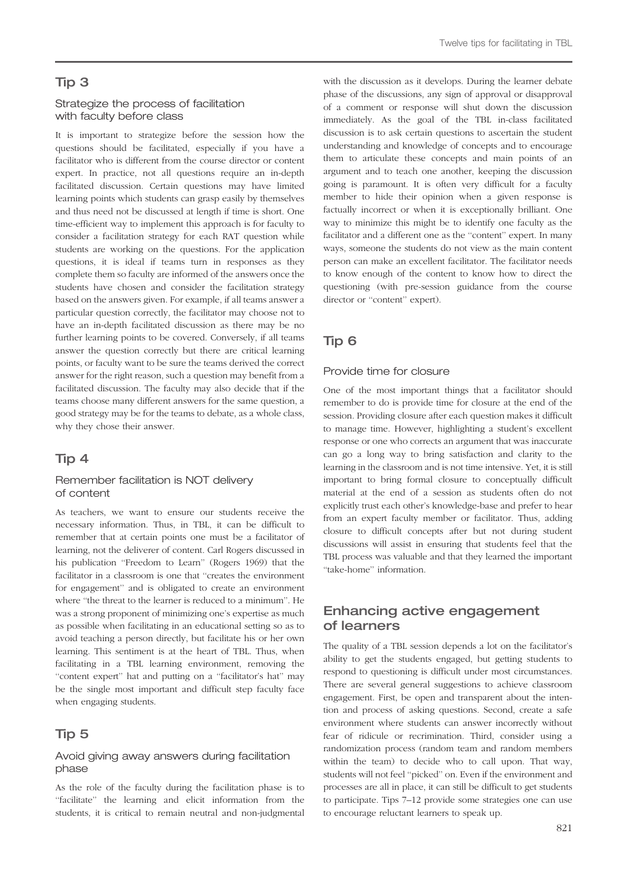#### Tip 3

#### Strategize the process of facilitation with faculty before class

It is important to strategize before the session how the questions should be facilitated, especially if you have a facilitator who is different from the course director or content expert. In practice, not all questions require an in-depth facilitated discussion. Certain questions may have limited learning points which students can grasp easily by themselves and thus need not be discussed at length if time is short. One time-efficient way to implement this approach is for faculty to consider a facilitation strategy for each RAT question while students are working on the questions. For the application questions, it is ideal if teams turn in responses as they complete them so faculty are informed of the answers once the students have chosen and consider the facilitation strategy based on the answers given. For example, if all teams answer a particular question correctly, the facilitator may choose not to have an in-depth facilitated discussion as there may be no further learning points to be covered. Conversely, if all teams answer the question correctly but there are critical learning points, or faculty want to be sure the teams derived the correct answer for the right reason, such a question may benefit from a facilitated discussion. The faculty may also decide that if the teams choose many different answers for the same question, a good strategy may be for the teams to debate, as a whole class, why they chose their answer.

### Tip 4

#### Remember facilitation is NOT delivery of content

As teachers, we want to ensure our students receive the necessary information. Thus, in TBL, it can be difficult to remember that at certain points one must be a facilitator of learning, not the deliverer of content. Carl Rogers discussed in his publication "Freedom to Learn" (Rogers [1969](#page-5-0)) that the facilitator in a classroom is one that ''creates the environment for engagement'' and is obligated to create an environment where "the threat to the learner is reduced to a minimum". He was a strong proponent of minimizing one's expertise as much as possible when facilitating in an educational setting so as to avoid teaching a person directly, but facilitate his or her own learning. This sentiment is at the heart of TBL. Thus, when facilitating in a TBL learning environment, removing the ''content expert'' hat and putting on a ''facilitator's hat'' may be the single most important and difficult step faculty face when engaging students.

### Tip 5

#### Avoid giving away answers during facilitation phase

As the role of the faculty during the facilitation phase is to ''facilitate'' the learning and elicit information from the students, it is critical to remain neutral and non-judgmental

with the discussion as it develops. During the learner debate phase of the discussions, any sign of approval or disapproval of a comment or response will shut down the discussion immediately. As the goal of the TBL in-class facilitated discussion is to ask certain questions to ascertain the student understanding and knowledge of concepts and to encourage them to articulate these concepts and main points of an argument and to teach one another, keeping the discussion going is paramount. It is often very difficult for a faculty member to hide their opinion when a given response is factually incorrect or when it is exceptionally brilliant. One way to minimize this might be to identify one faculty as the facilitator and a different one as the ''content'' expert. In many ways, someone the students do not view as the main content person can make an excellent facilitator. The facilitator needs to know enough of the content to know how to direct the questioning (with pre-session guidance from the course director or "content" expert).

# Tip 6

#### Provide time for closure

One of the most important things that a facilitator should remember to do is provide time for closure at the end of the session. Providing closure after each question makes it difficult to manage time. However, highlighting a student's excellent response or one who corrects an argument that was inaccurate can go a long way to bring satisfaction and clarity to the learning in the classroom and is not time intensive. Yet, it is still important to bring formal closure to conceptually difficult material at the end of a session as students often do not explicitly trust each other's knowledge-base and prefer to hear from an expert faculty member or facilitator. Thus, adding closure to difficult concepts after but not during student discussions will assist in ensuring that students feel that the TBL process was valuable and that they learned the important ''take-home'' information.

# Enhancing active engagement of learners

The quality of a TBL session depends a lot on the facilitator's ability to get the students engaged, but getting students to respond to questioning is difficult under most circumstances. There are several general suggestions to achieve classroom engagement. First, be open and transparent about the intention and process of asking questions. Second, create a safe environment where students can answer incorrectly without fear of ridicule or recrimination. Third, consider using a randomization process (random team and random members within the team) to decide who to call upon. That way, students will not feel ''picked'' on. Even if the environment and processes are all in place, it can still be difficult to get students to participate. Tips 7–12 provide some strategies one can use to encourage reluctant learners to speak up.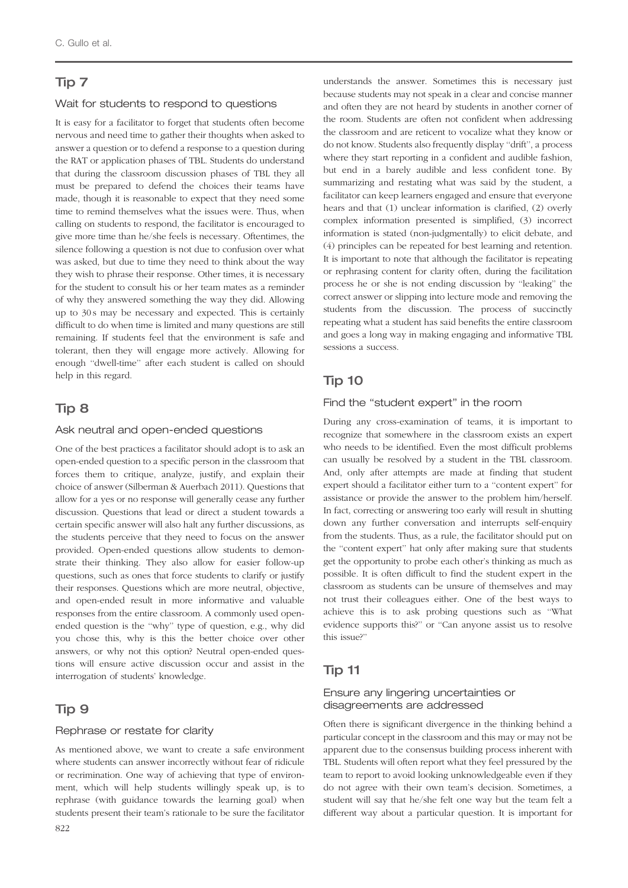# Tip 7

#### Wait for students to respond to questions

It is easy for a facilitator to forget that students often become nervous and need time to gather their thoughts when asked to answer a question or to defend a response to a question during the RAT or application phases of TBL. Students do understand that during the classroom discussion phases of TBL they all must be prepared to defend the choices their teams have made, though it is reasonable to expect that they need some time to remind themselves what the issues were. Thus, when calling on students to respond, the facilitator is encouraged to give more time than he/she feels is necessary. Oftentimes, the silence following a question is not due to confusion over what was asked, but due to time they need to think about the way they wish to phrase their response. Other times, it is necessary for the student to consult his or her team mates as a reminder of why they answered something the way they did. Allowing up to 30 s may be necessary and expected. This is certainly difficult to do when time is limited and many questions are still remaining. If students feel that the environment is safe and tolerant, then they will engage more actively. Allowing for enough ''dwell-time'' after each student is called on should help in this regard.

### Tip 8

#### Ask neutral and open-ended questions

One of the best practices a facilitator should adopt is to ask an open-ended question to a specific person in the classroom that forces them to critique, analyze, justify, and explain their choice of answer (Silberman & Auerbach [2011\)](#page-5-0). Questions that allow for a yes or no response will generally cease any further discussion. Questions that lead or direct a student towards a certain specific answer will also halt any further discussions, as the students perceive that they need to focus on the answer provided. Open-ended questions allow students to demonstrate their thinking. They also allow for easier follow-up questions, such as ones that force students to clarify or justify their responses. Questions which are more neutral, objective, and open-ended result in more informative and valuable responses from the entire classroom. A commonly used openended question is the ''why'' type of question, e.g., why did you chose this, why is this the better choice over other answers, or why not this option? Neutral open-ended questions will ensure active discussion occur and assist in the interrogation of students' knowledge.

### Tip 9

#### Rephrase or restate for clarity

As mentioned above, we want to create a safe environment where students can answer incorrectly without fear of ridicule or recrimination. One way of achieving that type of environment, which will help students willingly speak up, is to rephrase (with guidance towards the learning goal) when students present their team's rationale to be sure the facilitator

understands the answer. Sometimes this is necessary just because students may not speak in a clear and concise manner and often they are not heard by students in another corner of the room. Students are often not confident when addressing the classroom and are reticent to vocalize what they know or do not know. Students also frequently display ''drift'', a process where they start reporting in a confident and audible fashion, but end in a barely audible and less confident tone. By summarizing and restating what was said by the student, a facilitator can keep learners engaged and ensure that everyone hears and that (1) unclear information is clarified, (2) overly complex information presented is simplified, (3) incorrect information is stated (non-judgmentally) to elicit debate, and (4) principles can be repeated for best learning and retention. It is important to note that although the facilitator is repeating or rephrasing content for clarity often, during the facilitation process he or she is not ending discussion by ''leaking'' the correct answer or slipping into lecture mode and removing the students from the discussion. The process of succinctly repeating what a student has said benefits the entire classroom and goes a long way in making engaging and informative TBL sessions a success.

# Tip 10

#### Find the "student expert" in the room

During any cross-examination of teams, it is important to recognize that somewhere in the classroom exists an expert who needs to be identified. Even the most difficult problems can usually be resolved by a student in the TBL classroom. And, only after attempts are made at finding that student expert should a facilitator either turn to a ''content expert'' for assistance or provide the answer to the problem him/herself. In fact, correcting or answering too early will result in shutting down any further conversation and interrupts self-enquiry from the students. Thus, as a rule, the facilitator should put on the ''content expert'' hat only after making sure that students get the opportunity to probe each other's thinking as much as possible. It is often difficult to find the student expert in the classroom as students can be unsure of themselves and may not trust their colleagues either. One of the best ways to achieve this is to ask probing questions such as ''What evidence supports this?'' or ''Can anyone assist us to resolve this issue?''

### Tip 11

#### Ensure any lingering uncertainties or disagreements are addressed

Often there is significant divergence in the thinking behind a particular concept in the classroom and this may or may not be apparent due to the consensus building process inherent with TBL. Students will often report what they feel pressured by the team to report to avoid looking unknowledgeable even if they do not agree with their own team's decision. Sometimes, a student will say that he/she felt one way but the team felt a different way about a particular question. It is important for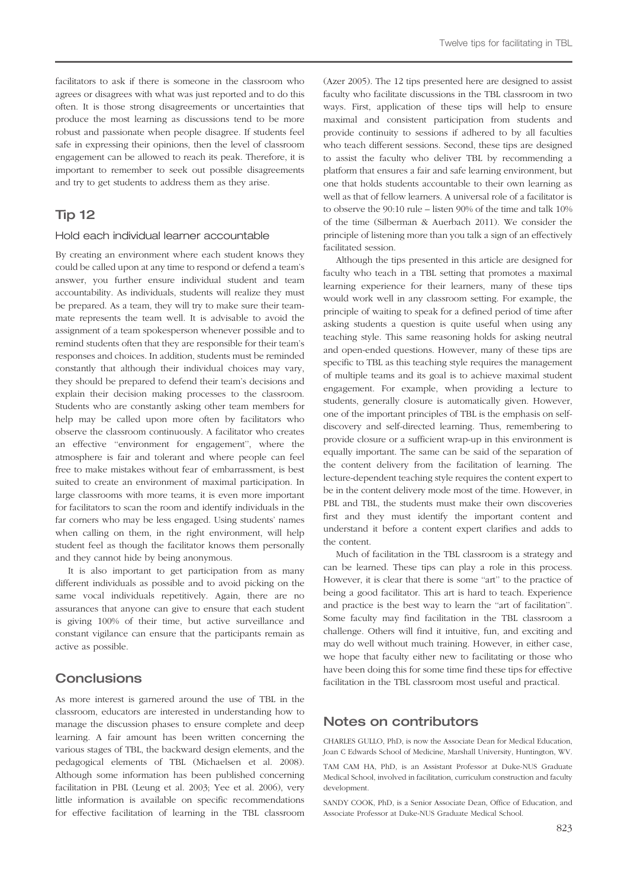facilitators to ask if there is someone in the classroom who agrees or disagrees with what was just reported and to do this often. It is those strong disagreements or uncertainties that produce the most learning as discussions tend to be more robust and passionate when people disagree. If students feel safe in expressing their opinions, then the level of classroom engagement can be allowed to reach its peak. Therefore, it is important to remember to seek out possible disagreements and try to get students to address them as they arise.

### Tip 12

#### Hold each individual learner accountable

By creating an environment where each student knows they could be called upon at any time to respond or defend a team's answer, you further ensure individual student and team accountability. As individuals, students will realize they must be prepared. As a team, they will try to make sure their teammate represents the team well. It is advisable to avoid the assignment of a team spokesperson whenever possible and to remind students often that they are responsible for their team's responses and choices. In addition, students must be reminded constantly that although their individual choices may vary, they should be prepared to defend their team's decisions and explain their decision making processes to the classroom. Students who are constantly asking other team members for help may be called upon more often by facilitators who observe the classroom continuously. A facilitator who creates an effective ''environment for engagement'', where the atmosphere is fair and tolerant and where people can feel free to make mistakes without fear of embarrassment, is best suited to create an environment of maximal participation. In large classrooms with more teams, it is even more important for facilitators to scan the room and identify individuals in the far corners who may be less engaged. Using students' names when calling on them, in the right environment, will help student feel as though the facilitator knows them personally and they cannot hide by being anonymous.

It is also important to get participation from as many different individuals as possible and to avoid picking on the same vocal individuals repetitively. Again, there are no assurances that anyone can give to ensure that each student is giving 100% of their time, but active surveillance and constant vigilance can ensure that the participants remain as active as possible.

# **Conclusions**

As more interest is garnered around the use of TBL in the classroom, educators are interested in understanding how to manage the discussion phases to ensure complete and deep learning. A fair amount has been written concerning the various stages of TBL, the backward design elements, and the pedagogical elements of TBL (Michaelsen et al. [2008](#page-5-0)). Although some information has been published concerning facilitation in PBL (Leung et al. [2003;](#page-5-0) Yee et al. [2006\)](#page-5-0), very little information is available on specific recommendations for effective facilitation of learning in the TBL classroom

(Azer [2005\)](#page-5-0). The 12 tips presented here are designed to assist faculty who facilitate discussions in the TBL classroom in two ways. First, application of these tips will help to ensure maximal and consistent participation from students and provide continuity to sessions if adhered to by all faculties who teach different sessions. Second, these tips are designed to assist the faculty who deliver TBL by recommending a platform that ensures a fair and safe learning environment, but one that holds students accountable to their own learning as well as that of fellow learners. A universal role of a facilitator is to observe the 90:10 rule – listen 90% of the time and talk 10% of the time (Silberman & Auerbach [2011](#page-5-0)). We consider the principle of listening more than you talk a sign of an effectively facilitated session.

Although the tips presented in this article are designed for faculty who teach in a TBL setting that promotes a maximal learning experience for their learners, many of these tips would work well in any classroom setting. For example, the principle of waiting to speak for a defined period of time after asking students a question is quite useful when using any teaching style. This same reasoning holds for asking neutral and open-ended questions. However, many of these tips are specific to TBL as this teaching style requires the management of multiple teams and its goal is to achieve maximal student engagement. For example, when providing a lecture to students, generally closure is automatically given. However, one of the important principles of TBL is the emphasis on selfdiscovery and self-directed learning. Thus, remembering to provide closure or a sufficient wrap-up in this environment is equally important. The same can be said of the separation of the content delivery from the facilitation of learning. The lecture-dependent teaching style requires the content expert to be in the content delivery mode most of the time. However, in PBL and TBL, the students must make their own discoveries first and they must identify the important content and understand it before a content expert clarifies and adds to the content.

Much of facilitation in the TBL classroom is a strategy and can be learned. These tips can play a role in this process. However, it is clear that there is some ''art'' to the practice of being a good facilitator. This art is hard to teach. Experience and practice is the best way to learn the ''art of facilitation''. Some faculty may find facilitation in the TBL classroom a challenge. Others will find it intuitive, fun, and exciting and may do well without much training. However, in either case, we hope that faculty either new to facilitating or those who have been doing this for some time find these tips for effective facilitation in the TBL classroom most useful and practical.

#### Notes on contributors

CHARLES GULLO, PhD, is now the Associate Dean for Medical Education, Joan C Edwards School of Medicine, Marshall University, Huntington, WV.

TAM CAM HA, PhD, is an Assistant Professor at Duke-NUS Graduate Medical School, involved in facilitation, curriculum construction and faculty development.

SANDY COOK, PhD, is a Senior Associate Dean, Office of Education, and Associate Professor at Duke-NUS Graduate Medical School.